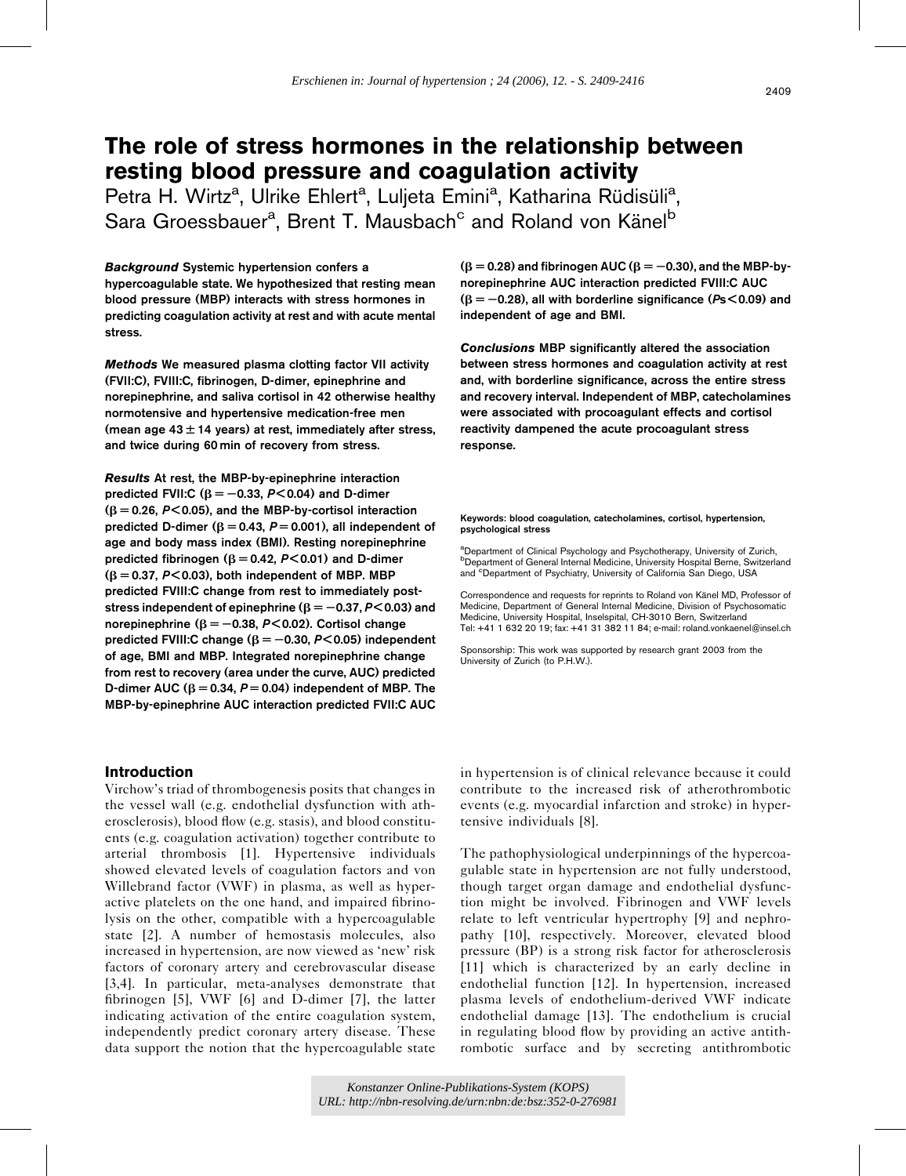# The role of stress hormones in the relationship between resting blood pressure and coagulation activity

Petra H. Wirtz<sup>a</sup>, Ulrike Ehlert<sup>a</sup>, Luljeta Emini<sup>a</sup>, Katharina Rüdisüli<sup>a</sup>, Sara Groessbauer<sup>a</sup>, Brent T. Mausbach<sup>c</sup> and Roland von Känel<sup>b</sup>

Background Systemic hypertension confers a hypercoagulable state. We hypothesized that resting mean blood pressure (MBP) interacts with stress hormones in predicting coagulation activity at rest and with acute mental stress.

Methods We measured plasma clotting factor VII activity (FVII:C), FVIII:C, fibrinogen, D-dimer, epinephrine and norepinephrine, and saliva cortisol in 42 otherwise healthy normotensive and hypertensive medication-free men (mean age  $43 \pm 14$  years) at rest, immediately after stress, and twice during 60 min of recovery from stress.

Results At rest, the MBP-by-epinephrine interaction predicted FVII:C ( $\beta = -0.33$ , P<0.04) and D-dimer  $(\beta = 0.26, P < 0.05)$ , and the MBP-by-cortisol interaction predicted D-dimer ( $\beta = 0.43$ ,  $P = 0.001$ ), all independent of age and body mass index (BMI). Resting norepinephrine predicted fibrinogen ( $B = 0.42$ ,  $P < 0.01$ ) and D-dimer  $(\beta = 0.37, P < 0.03)$ , both independent of MBP. MBP predicted FVIII:C change from rest to immediately poststress independent of epinephrine ( $\beta = -0.37, P < 0.03$ ) and norepinephrine ( $\beta = -0.38$ , P<0.02). Cortisol change predicted FVIII:C change ( $\beta = -0.30$ , P<0.05) independent of age, BMI and MBP. Integrated norepinephrine change from rest to recovery (area under the curve, AUC) predicted D-dimer AUC ( $\beta = 0.34$ ,  $P = 0.04$ ) independent of MBP. The MBP-by-epinephrine AUC interaction predicted FVII:C AUC

## Introduction

Virchow's triad of thrombogenesis posits that changes in the vessel wall (e.g. endothelial dysfunction with atherosclerosis), blood flow (e.g. stasis), and blood constituents (e.g. coagulation activation) together contribute to arterial thrombosis [\[1\].](#page-7-0) Hypertensive individuals showed elevated levels of coagulation factors and von Willebrand factor (VWF) in plasma, as well as hyperactive platelets on the one hand, and impaired fibrinolysis on the other, compatible with a hypercoagulable state [\[2\].](#page-7-0) A number of hemostasis molecules, also increased in hypertension, are now viewed as 'new' risk factors of coronary artery and cerebrovascular disease [\[3,4\]](#page-7-0). In particular, meta-analyses demonstrate that fibrinogen [\[5\],](#page-7-0) VWF [\[6\]](#page-7-0) and D-dimer [\[7\]](#page-7-0), the latter indicating activation of the entire coagulation system, independently predict coronary artery disease. These data support the notion that the hypercoagulable state

 $(\beta = 0.28)$  and fibrinogen AUC ( $\beta = -0.30$ ), and the MBP-bynorepinephrine AUC interaction predicted FVIII:C AUC  $(\beta = -0.28)$ , all with borderline significance (Ps < 0.09) and independent of age and BMI.

Conclusions MBP significantly altered the association between stress hormones and coagulation activity at rest and, with borderline significance, across the entire stress and recovery interval. Independent of MBP, catecholamines were associated with procoagulant effects and cortisol reactivity dampened the acute procoagulant stress response.

#### Keywords: blood coagulation, catecholamines, cortisol, hypertension, psychological stress

<sup>a</sup>Department of Clinical Psychology and Psychotherapy, University of Zurich, b Department of General Internal Medicine, University Hospital Berne, Switzerland and <sup>c</sup>Department of Psychiatry, University of California San Diego, USA

Correspondence and requests for reprints to Roland von Känel MD, Professor of Medicine, Department of General Internal Medicine, Division of Psychosomatic Medicine, University Hospital, Inselspital, CH-3010 Bern, Switzerland Tel: +41 1 632 20 19; fax: +41 31 382 11 84; e-mail: [roland.vonkaenel@insel.ch](mailto:roland.vonkaenel@insel.ch)

Sponsorship: This work was supported by research grant 2003 from the University of Zurich (to P.H.W.).

in hypertension is of clinical relevance because it could contribute to the increased risk of atherothrombotic events (e.g. myocardial infarction and stroke) in hypertensive individuals [\[8\].](#page-7-0)

The pathophysiological underpinnings of the hypercoagulable state in hypertension are not fully understood, though target organ damage and endothelial dysfunction might be involved. Fibrinogen and VWF levels relate to left ventricular hypertrophy [\[9\]](#page-7-0) and nephropathy [\[10\]](#page-7-0), respectively. Moreover, elevated blood pressure (BP) is a strong risk factor for atherosclerosis [\[11\]](#page-7-0) which is characterized by an early decline in endothelial function [\[12\].](#page-7-0) In hypertension, increased plasma levels of endothelium-derived VWF indicate endothelial damage [\[13\]](#page-7-0). The endothelium is crucial in regulating blood flow by providing an active antithrombotic surface and by secreting antithrombotic

*Konstanzer Online-Publikations-System (KOPS) URL[: http://nbn-resolving.de/urn:nbn:de:bsz:352-0-276981](http://nbn-resolving.de/urn:nbn:de:bsz:352-0-276981)*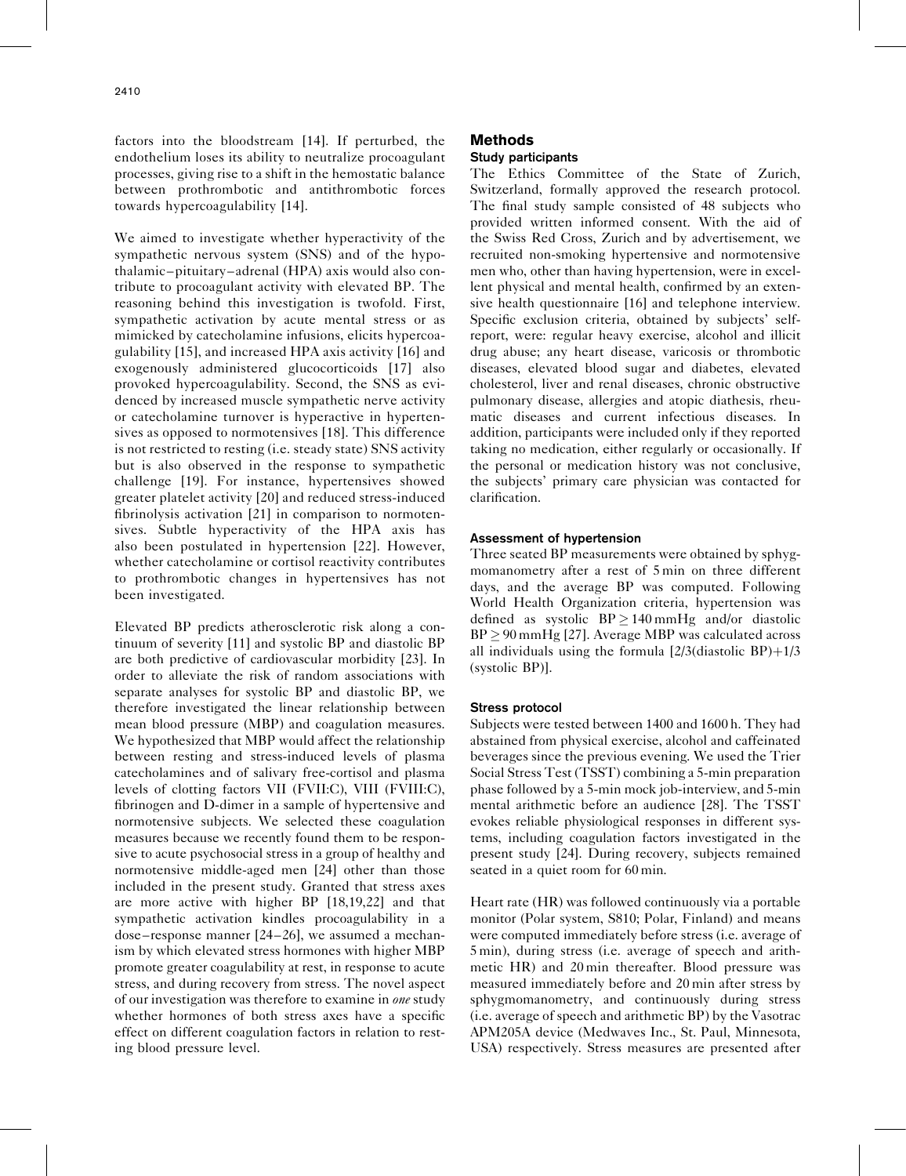factors into the bloodstream [\[14\]](#page-7-0). If perturbed, the endothelium loses its ability to neutralize procoagulant processes, giving rise to a shift in the hemostatic balance between prothrombotic and antithrombotic forces towards hypercoagulability [\[14\]](#page-7-0).

We aimed to investigate whether hyperactivity of the sympathetic nervous system (SNS) and of the hypothalamic–pituitary–adrenal (HPA) axis would also contribute to procoagulant activity with elevated BP. The reasoning behind this investigation is twofold. First, sympathetic activation by acute mental stress or as mimicked by catecholamine infusions, elicits hypercoagulability [\[15\]](#page-7-0), and increased HPA axis activity [\[16\]](#page-7-0) and exogenously administered glucocorticoids [\[17\]](#page-7-0) also provoked hypercoagulability. Second, the SNS as evidenced by increased muscle sympathetic nerve activity or catecholamine turnover is hyperactive in hypertensives as opposed to normotensives [\[18\].](#page-7-0) This difference is not restricted to resting (i.e. steady state) SNS activity but is also observed in the response to sympathetic challenge [\[19\].](#page-7-0) For instance, hypertensives showed greater platelet activity [\[20\]](#page-7-0) and reduced stress-induced fibrinolysis activation [\[21\]](#page-7-0) in comparison to normotensives. Subtle hyperactivity of the HPA axis has also been postulated in hypertension [\[22\]](#page-7-0). However, whether catecholamine or cortisol reactivity contributes to prothrombotic changes in hypertensives has not been investigated.

Elevated BP predicts atherosclerotic risk along a continuum of severity [\[11\]](#page-7-0) and systolic BP and diastolic BP are both predictive of cardiovascular morbidity [\[23\]](#page-7-0). In order to alleviate the risk of random associations with separate analyses for systolic BP and diastolic BP, we therefore investigated the linear relationship between mean blood pressure (MBP) and coagulation measures. We hypothesized that MBP would affect the relationship between resting and stress-induced levels of plasma catecholamines and of salivary free-cortisol and plasma levels of clotting factors VII (FVII:C), VIII (FVIII:C), fibrinogen and D-dimer in a sample of hypertensive and normotensive subjects. We selected these coagulation measures because we recently found them to be responsive to acute psychosocial stress in a group of healthy and normotensive middle-aged men [\[24\]](#page-7-0) other than those included in the present study. Granted that stress axes are more active with higher BP [\[18,19,22\]](#page-7-0) and that sympathetic activation kindles procoagulability in a dose–response manner [\[24–26\]](#page-7-0), we assumed a mechanism by which elevated stress hormones with higher MBP promote greater coagulability at rest, in response to acute stress, and during recovery from stress. The novel aspect of our investigation was therefore to examine in *one* study whether hormones of both stress axes have a specific effect on different coagulation factors in relation to resting blood pressure level.

## Methods

## Study participants

The Ethics Committee of the State of Zurich, Switzerland, formally approved the research protocol. The final study sample consisted of 48 subjects who provided written informed consent. With the aid of the Swiss Red Cross, Zurich and by advertisement, we recruited non-smoking hypertensive and normotensive men who, other than having hypertension, were in excellent physical and mental health, confirmed by an exten-sive health questionnaire [\[16\]](#page-7-0) and telephone interview. Specific exclusion criteria, obtained by subjects' selfreport, were: regular heavy exercise, alcohol and illicit drug abuse; any heart disease, varicosis or thrombotic diseases, elevated blood sugar and diabetes, elevated cholesterol, liver and renal diseases, chronic obstructive pulmonary disease, allergies and atopic diathesis, rheumatic diseases and current infectious diseases. In addition, participants were included only if they reported taking no medication, either regularly or occasionally. If the personal or medication history was not conclusive, the subjects' primary care physician was contacted for clarification.

## Assessment of hypertension

Three seated BP measurements were obtained by sphygmomanometry after a rest of 5 min on three different days, and the average BP was computed. Following World Health Organization criteria, hypertension was defined as systolic  $BP \ge 140 \text{ mmHg}$  and/or diastolic  $BP \geq 90$  mmHg [\[27\]](#page-7-0). Average MBP was calculated across all individuals using the formula  $[2/3]$ (diastolic BP)+1/3 (systolic BP)].

## Stress protocol

Subjects were tested between 1400 and 1600 h. They had abstained from physical exercise, alcohol and caffeinated beverages since the previous evening. We used the Trier Social Stress Test (TSST) combining a 5-min preparation phase followed by a 5-min mock job-interview, and 5-min mental arithmetic before an audience [\[28\].](#page-7-0) The TSST evokes reliable physiological responses in different systems, including coagulation factors investigated in the present study [\[24\].](#page-7-0) During recovery, subjects remained seated in a quiet room for 60 min.

Heart rate (HR) was followed continuously via a portable monitor (Polar system, S810; Polar, Finland) and means were computed immediately before stress (i.e. average of 5 min), during stress (i.e. average of speech and arithmetic HR) and 20 min thereafter. Blood pressure was measured immediately before and 20 min after stress by sphygmomanometry, and continuously during stress (i.e. average of speech and arithmetic BP) by the Vasotrac APM205A device (Medwaves Inc., St. Paul, Minnesota, USA) respectively. Stress measures are presented after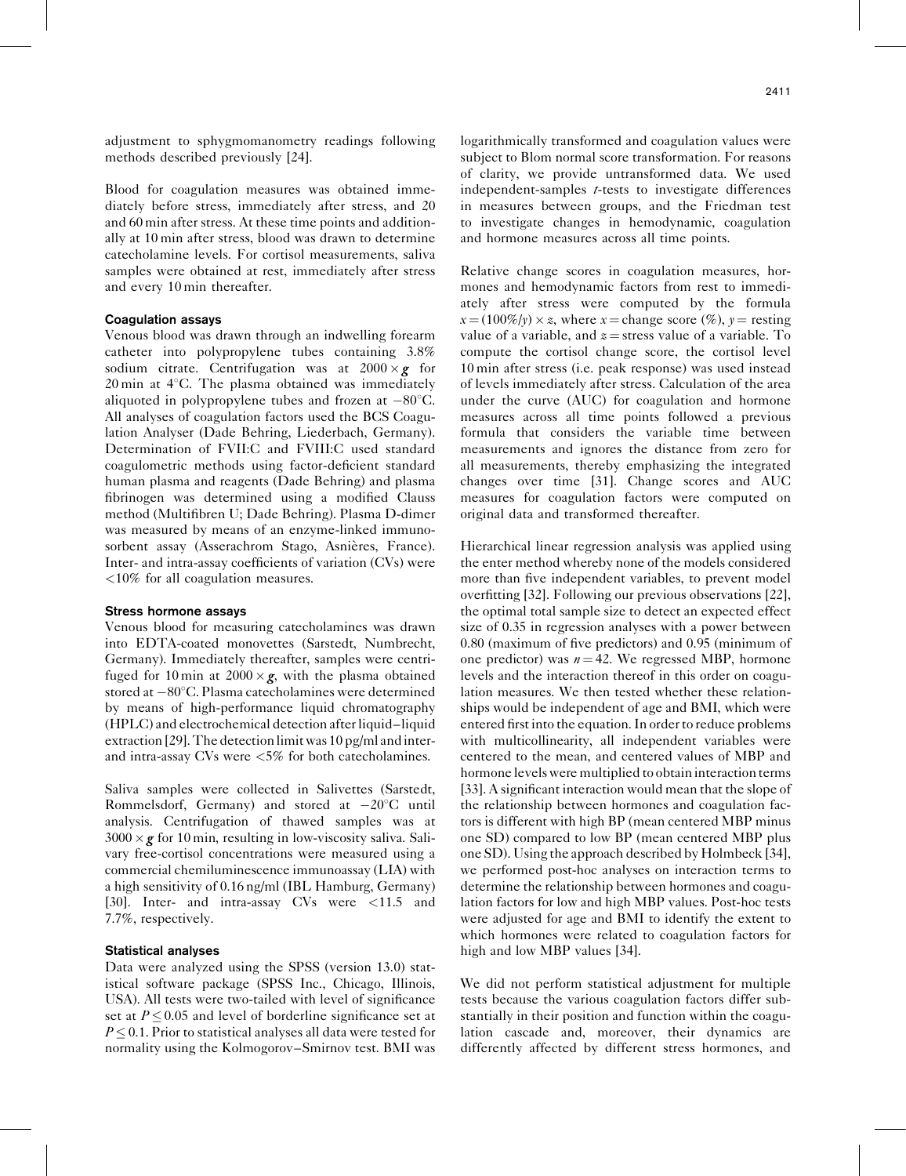adjustment to sphygmomanometry readings following methods described previously [\[24\].](#page-7-0)

Blood for coagulation measures was obtained immediately before stress, immediately after stress, and 20 and 60 min after stress. At these time points and additionally at 10 min after stress, blood was drawn to determine catecholamine levels. For cortisol measurements, saliva samples were obtained at rest, immediately after stress and every 10 min thereafter.

#### Coagulation assays

Venous blood was drawn through an indwelling forearm catheter into polypropylene tubes containing 3.8% sodium citrate. Centrifugation was at  $2000 \times g$  for  $20 \text{ min}$  at  $4^{\circ}$ C. The plasma obtained was immediately aliquoted in polypropylene tubes and frozen at  $-80^{\circ}$ C. All analyses of coagulation factors used the BCS Coagulation Analyser (Dade Behring, Liederbach, Germany). Determination of FVII:C and FVIII:C used standard coagulometric methods using factor-deficient standard human plasma and reagents (Dade Behring) and plasma fibrinogen was determined using a modified Clauss method (Multifibren U; Dade Behring). Plasma D-dimer was measured by means of an enzyme-linked immunosorbent assay (Asserachrom Stago, Asnières, France). Inter- and intra-assay coefficients of variation (CVs) were <10% for all coagulation measures.

#### Stress hormone assays

Venous blood for measuring catecholamines was drawn into EDTA-coated monovettes (Sarstedt, Numbrecht, Germany). Immediately thereafter, samples were centrifuged for 10 min at  $2000 \times g$ , with the plasma obtained stored at  $-80^{\circ}$ C. Plasma catecholamines were determined by means of high-performance liquid chromatography (HPLC) and electrochemical detection after liquid–liquid extraction [\[29\]](#page-7-0). The detection limit was 10 pg/ml and interand intra-assay CVs were <5% for both catecholamines.

Saliva samples were collected in Salivettes (Sarstedt, Rommelsdorf, Germany) and stored at  $-20^{\circ}$ C until analysis. Centrifugation of thawed samples was at  $3000 \times g$  for 10 min, resulting in low-viscosity saliva. Salivary free-cortisol concentrations were measured using a commercial chemiluminescence immunoassay (LIA) with a high sensitivity of 0.16 ng/ml (IBL Hamburg, Germany) [\[30\]](#page-7-0). Inter- and intra-assay CVs were <11.5 and 7.7%, respectively.

#### Statistical analyses

Data were analyzed using the SPSS (version 13.0) statistical software package (SPSS Inc., Chicago, Illinois, USA). All tests were two-tailed with level of significance set at  $P \le 0.05$  and level of borderline significance set at  $P \leq 0.1$ . Prior to statistical analyses all data were tested for normality using the Kolmogorov–Smirnov test. BMI was logarithmically transformed and coagulation values were subject to Blom normal score transformation. For reasons of clarity, we provide untransformed data. We used independent-samples t-tests to investigate differences in measures between groups, and the Friedman test to investigate changes in hemodynamic, coagulation and hormone measures across all time points.

Relative change scores in coagulation measures, hormones and hemodynamic factors from rest to immediately after stress were computed by the formula  $x = (100\%/y) \times z$ , where  $x =$ change score (%),  $y =$  resting value of a variable, and  $z =$  stress value of a variable. To compute the cortisol change score, the cortisol level 10 min after stress (i.e. peak response) was used instead of levels immediately after stress. Calculation of the area under the curve (AUC) for coagulation and hormone measures across all time points followed a previous formula that considers the variable time between measurements and ignores the distance from zero for all measurements, thereby emphasizing the integrated changes over time [\[31\].](#page-7-0) Change scores and AUC measures for coagulation factors were computed on original data and transformed thereafter.

Hierarchical linear regression analysis was applied using the enter method whereby none of the models considered more than five independent variables, to prevent model overfitting [\[32\].](#page-7-0) Following our previous observations [\[22\]](#page-7-0), the optimal total sample size to detect an expected effect size of 0.35 in regression analyses with a power between 0.80 (maximum of five predictors) and 0.95 (minimum of one predictor) was  $n = 42$ . We regressed MBP, hormone levels and the interaction thereof in this order on coagulation measures. We then tested whether these relationships would be independent of age and BMI, which were entered first into the equation. In order to reduce problems with multicollinearity, all independent variables were centered to the mean, and centered values of MBP and hormone levels were multiplied to obtain interaction terms [\[33\]](#page-7-0). A significant interaction would mean that the slope of the relationship between hormones and coagulation factors is different with high BP (mean centered MBP minus one SD) compared to low BP (mean centered MBP plus one SD). Using the approach described by Holmbeck [\[34\]](#page-7-0), we performed post-hoc analyses on interaction terms to determine the relationship between hormones and coagulation factors for low and high MBP values. Post-hoc tests were adjusted for age and BMI to identify the extent to which hormones were related to coagulation factors for high and low MBP values [\[34\]](#page-7-0).

We did not perform statistical adjustment for multiple tests because the various coagulation factors differ substantially in their position and function within the coagulation cascade and, moreover, their dynamics are differently affected by different stress hormones, and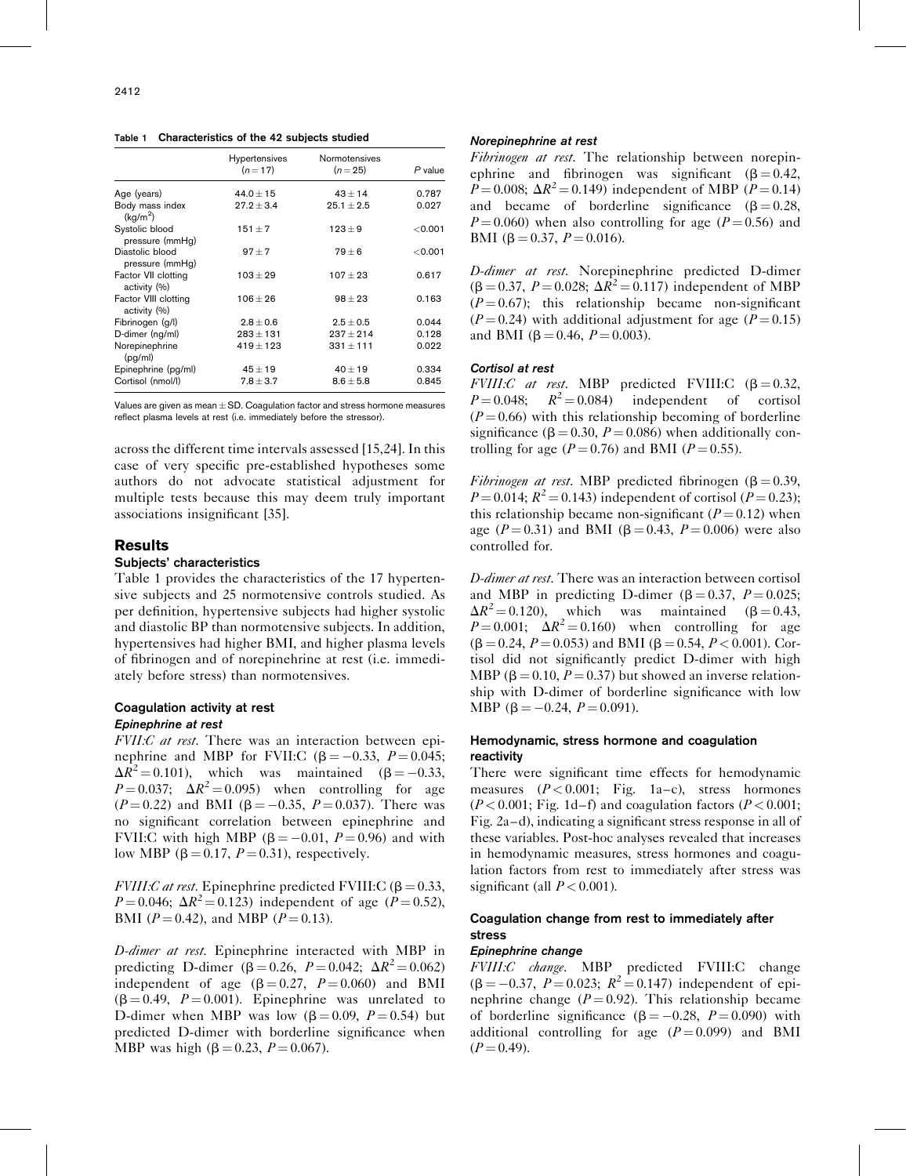Table 1 Characteristics of the 42 subjects studied

|                                         | <b>Hypertensives</b><br>$(n=17)$ | <b>Normotensives</b><br>$(n=25)$ | P value |
|-----------------------------------------|----------------------------------|----------------------------------|---------|
| Age (years)                             | $44.0 \pm 15$                    | $43 + 14$                        | 0.787   |
| Body mass index<br>(kq/m <sup>2</sup> ) | $27.2 + 3.4$                     | $25.1 + 2.5$                     | 0.027   |
| Systolic blood<br>pressure (mmHq)       | $151 + 7$                        | $123 + 9$                        | < 0.001 |
| Diastolic blood<br>pressure (mmHq)      | $97 + 7$                         | $79 + 6$                         | < 0.001 |
| Factor VII clotting<br>activity (%)     | $103 + 29$                       | $107 + 23$                       | 0.617   |
| Factor VIII clotting<br>activity (%)    | $106 + 26$                       | $98 + 23$                        | 0.163   |
| Fibrinogen (g/l)                        | $2.8 + 0.6$                      | $2.5 + 0.5$                      | 0.044   |
| D-dimer (ng/ml)                         | $283 + 131$                      | $237 + 214$                      | 0.128   |
| Norepinephrine<br>(pq/ml)               | $419 + 123$                      | $331 + 111$                      | 0.022   |
| Epinephrine (pg/ml)                     | $45 \pm 19$                      | $40 + 19$                        | 0.334   |
| Cortisol (nmol/l)                       | $7.8 \pm 3.7$                    | $8.6 \pm 5.8$                    | 0.845   |

Values are given as mean  $\pm$  SD. Coagulation factor and stress hormone measures reflect plasma levels at rest (i.e. immediately before the stressor).

across the different time intervals assessed [\[15,24\].](#page-7-0) In this case of very specific pre-established hypotheses some authors do not advocate statistical adjustment for multiple tests because this may deem truly important associations insignificant [\[35\]](#page-7-0).

## **Results**

## Subjects' characteristics

Table 1 provides the characteristics of the 17 hypertensive subjects and 25 normotensive controls studied. As per definition, hypertensive subjects had higher systolic and diastolic BP than normotensive subjects. In addition, hypertensives had higher BMI, and higher plasma levels of fibrinogen and of norepinehrine at rest (i.e. immediately before stress) than normotensives.

#### Coagulation activity at rest Epinephrine at rest

FVII:C at rest. There was an interaction between epinephrine and MBP for FVII:C  $(\beta = -0.33, P = 0.045;$  $\Delta R^2 = 0.101$ , which was maintained ( $\beta = -0.33$ ,  $P = 0.037$ ;  $\Delta R^2 = 0.095$ ) when controlling for age  $(P = 0.22)$  and BMI ( $\beta = -0.35$ ,  $P = 0.037$ ). There was no significant correlation between epinephrine and FVII:C with high MBP ( $\beta = -0.01$ ,  $P = 0.96$ ) and with low MBP ( $\beta = 0.17$ ,  $P = 0.31$ ), respectively.

FVIII:C at rest. Epinephrine predicted FVIII:C ( $\beta = 0.33$ ,  $P = 0.046$ ;  $\Delta R^2 = 0.123$ ) independent of age ( $P = 0.52$ ), BMI ( $P = 0.42$ ), and MBP ( $P = 0.13$ ).

D-dimer at rest. Epinephrine interacted with MBP in predicting D-dimer ( $\beta = 0.26$ ,  $P = 0.042$ ;  $\Delta R^2 = 0.062$ ) independent of age  $(\beta = 0.27, P = 0.060)$  and BMI  $(\beta = 0.49, P = 0.001)$ . Epinephrine was unrelated to D-dimer when MBP was low  $(\beta = 0.09, P = 0.54)$  but predicted D-dimer with borderline significance when MBP was high ( $\beta = 0.23$ ,  $P = 0.067$ ).

#### Norepinephrine at rest

Fibrinogen at rest. The relationship between norepinephrine and fibrinogen was significant  $(8 = 0.42, ...)$  $P = 0.008$ ;  $\Delta R^2 = 0.149$ ) independent of MBP ( $P = 0.14$ ) and became of borderline significance  $(\beta = 0.28,$  $P = 0.060$ ) when also controlling for age ( $P = 0.56$ ) and BMI (β = 0.37,  $P = 0.016$ ).

D-dimer at rest. Norepinephrine predicted D-dimer  $(\beta = 0.37, P = 0.028; \Delta R^2 = 0.117)$  independent of MBP  $(P = 0.67)$ ; this relationship became non-significant  $(P = 0.24)$  with additional adjustment for age  $(P = 0.15)$ and BMI ( $\beta = 0.46$ ,  $P = 0.003$ ).

#### Cortisol at rest

FVIII:C at rest. MBP predicted FVIII:C  $(\beta = 0.32,$  $P = 0.048$ ;  $R^2 = 0.084$  independent of cortisol  $(P = 0.66)$  with this relationship becoming of borderline significance ( $\beta = 0.30$ ,  $P = 0.086$ ) when additionally controlling for age ( $P = 0.76$ ) and BMI ( $P = 0.55$ ).

Fibrinogen at rest. MBP predicted fibrinogen ( $\beta = 0.39$ ,  $P = 0.014$ ;  $R^2 = 0.143$ ) independent of cortisol ( $P = 0.23$ ); this relationship became non-significant  $(P = 0.12)$  when age ( $P = 0.31$ ) and BMI ( $\beta = 0.43$ ,  $P = 0.006$ ) were also controlled for.

D-dimer at rest. There was an interaction between cortisol and MBP in predicting D-dimer  $(\beta = 0.37, P = 0.025;$  $\Delta R^2 = 0.120$ , which was maintained ( $\beta = 0.43$ ,  $P = 0.001$ ;  $\Delta R^2 = 0.160$ ) when controlling for age  $(\beta = 0.24, P = 0.053)$  and BMI ( $\beta = 0.54, P < 0.001$ ). Cortisol did not significantly predict D-dimer with high MBP ( $\beta$  = 0.10, P = 0.37) but showed an inverse relationship with D-dimer of borderline significance with low MBP ( $\beta = -0.24$ ,  $P = 0.091$ ).

## Hemodynamic, stress hormone and coagulation reactivity

There were significant time effects for hemodynamic measures  $(P < 0.001;$  [Fig. 1](#page-4-0)a–c), stress hormones  $(P<0.001;$  [Fig. 1d](#page-4-0)–f) and coagulation factors  $(P<0.001;$ [Fig. 2a](#page-5-0)–d), indicating a significant stress response in all of these variables. Post-hoc analyses revealed that increases in hemodynamic measures, stress hormones and coagulation factors from rest to immediately after stress was significant (all  $P < 0.001$ ).

## Coagulation change from rest to immediately after stress

#### Epinephrine change

FVIII:C change. MBP predicted FVIII:C change  $(\beta = -0.37, P = 0.023; R^2 = 0.147)$  independent of epinephrine change ( $P = 0.92$ ). This relationship became of borderline significance  $(\beta = -0.28, P = 0.090)$  with additional controlling for age  $(P=0.099)$  and BMI  $(P = 0.49)$ .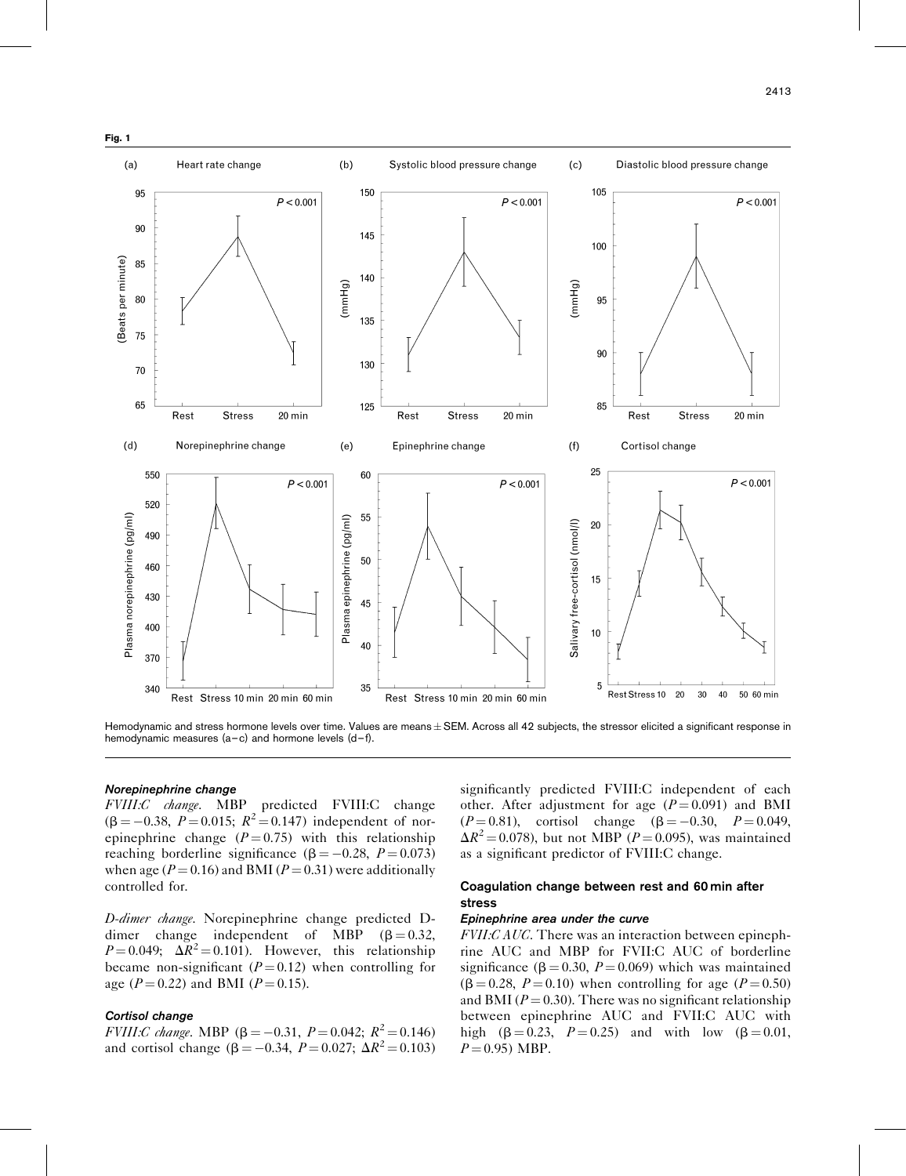<span id="page-4-0"></span>

Hemodynamic and stress hormone levels over time. Values are means  $\pm$  SEM. Across all 42 subjects, the stressor elicited a significant response in hemodynamic measures (a–c) and hormone levels (d–f).

#### Norepinephrine change

FVIII:C change. MBP predicted FVIII:C change  $(\beta = -0.38, P = 0.015; R^2 = 0.147)$  independent of norepinephrine change  $(P = 0.75)$  with this relationship reaching borderline significance ( $\beta = -0.28$ ,  $P = 0.073$ ) when age ( $P = 0.16$ ) and BMI ( $P = 0.31$ ) were additionally controlled for.

D-dimer change. Norepinephrine change predicted Ddimer change independent of MBP  $(\beta = 0.32,$  $P = 0.049$ ;  $\Delta R^2 = 0.101$ ). However, this relationship became non-significant  $(P = 0.12)$  when controlling for age ( $P = 0.22$ ) and BMI ( $P = 0.15$ ).

#### Cortisol change

FVIII:C change. MBP ( $\beta = -0.31$ ,  $P = 0.042$ ;  $R^2 = 0.146$ ) and cortisol change ( $\beta = -0.34$ ,  $P = 0.027$ ;  $\Delta R^2 = 0.103$ )

significantly predicted FVIII:C independent of each other. After adjustment for age  $(P=0.091)$  and BMI  $(P = 0.81)$ , cortisol change  $(\beta = -0.30, P = 0.049,$  $\Delta R^2$  = 0.078), but not MBP (P = 0.095), was maintained as a significant predictor of FVIII:C change.

## Coagulation change between rest and 60 min after stress

#### Epinephrine area under the curve

FVII:C AUC. There was an interaction between epinephrine AUC and MBP for FVII:C AUC of borderline significance ( $\beta = 0.30$ ,  $P = 0.069$ ) which was maintained  $(\beta = 0.28, P = 0.10)$  when controlling for age (P = 0.50) and BMI ( $P = 0.30$ ). There was no significant relationship between epinephrine AUC and FVII:C AUC with high ( $\beta = 0.23$ ,  $P = 0.25$ ) and with low ( $\beta = 0.01$ ,  $P = 0.95$ ) MBP.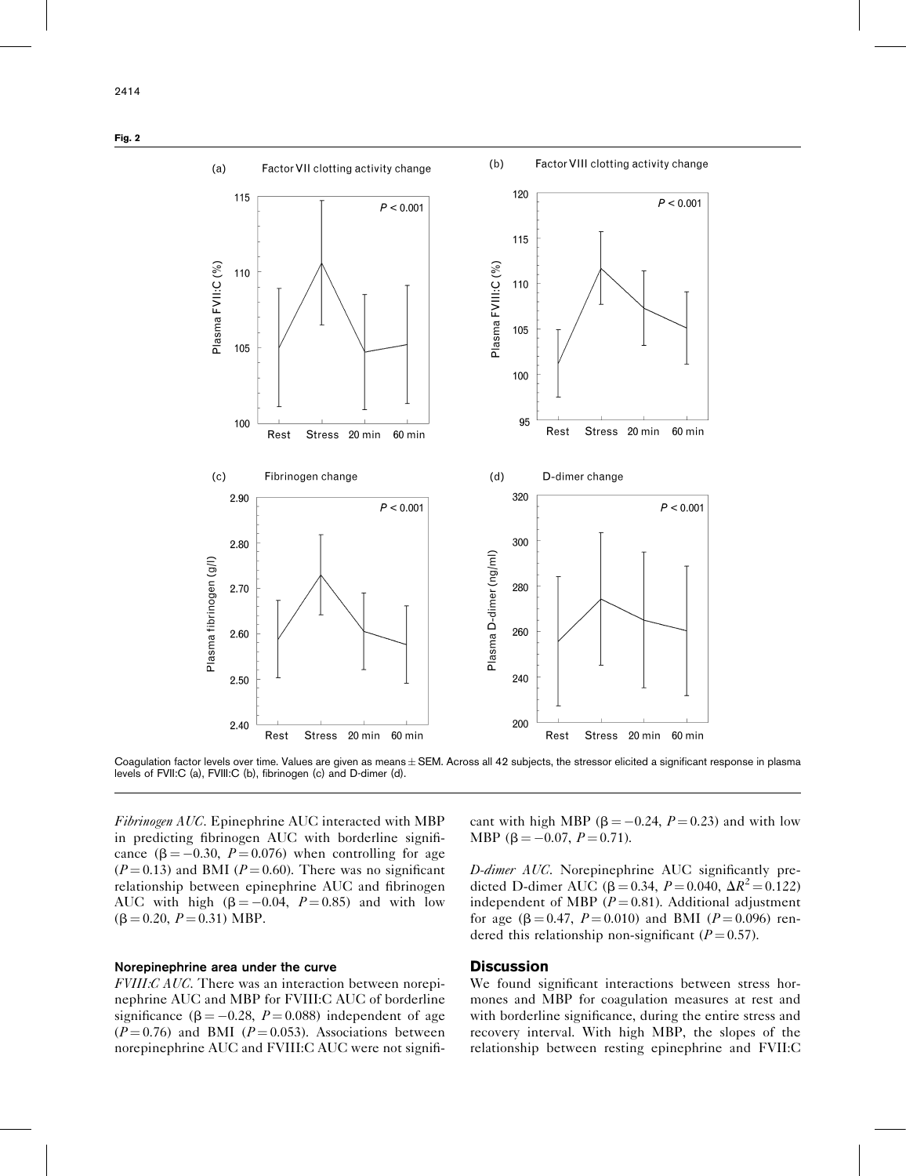<span id="page-5-0"></span>Fig. 2



Coagulation factor levels over time. Values are given as means  $\pm$  SEM. Across all 42 subjects, the stressor elicited a significant response in plasma levels of FVII:C (a), FVIII:C (b), fibrinogen (c) and D-dimer (d).

Fibrinogen AUC. Epinephrine AUC interacted with MBP in predicting fibrinogen AUC with borderline significance  $(\beta = -0.30, P = 0.076)$  when controlling for age  $(P = 0.13)$  and BMI ( $P = 0.60$ ). There was no significant relationship between epinephrine AUC and fibrinogen AUC with high  $(\beta = -0.04, P = 0.85)$  and with low  $(\beta = 0.20, P = 0.31) \text{ MBP}.$ 

## Norepinephrine area under the curve

FVIII:C AUC. There was an interaction between norepinephrine AUC and MBP for FVIII:C AUC of borderline significance ( $\beta = -0.28$ ,  $P = 0.088$ ) independent of age  $(P = 0.76)$  and BMI  $(P = 0.053)$ . Associations between norepinephrine AUC and FVIII:C AUC were not significant with high MBP ( $\beta = -0.24$ ,  $P = 0.23$ ) and with low MBP ( $\beta = -0.07$ ,  $P = 0.71$ ).

D-dimer AUC. Norepinephrine AUC significantly predicted D-dimer AUC ( $\beta = 0.34$ ,  $P = 0.040$ ,  $\Delta R^2 = 0.122$ ) independent of MBP ( $P = 0.81$ ). Additional adjustment for age ( $\beta = 0.47$ ,  $P = 0.010$ ) and BMI ( $P = 0.096$ ) rendered this relationship non-significant ( $P = 0.57$ ).

## **Discussion**

We found significant interactions between stress hormones and MBP for coagulation measures at rest and with borderline significance, during the entire stress and recovery interval. With high MBP, the slopes of the relationship between resting epinephrine and FVII:C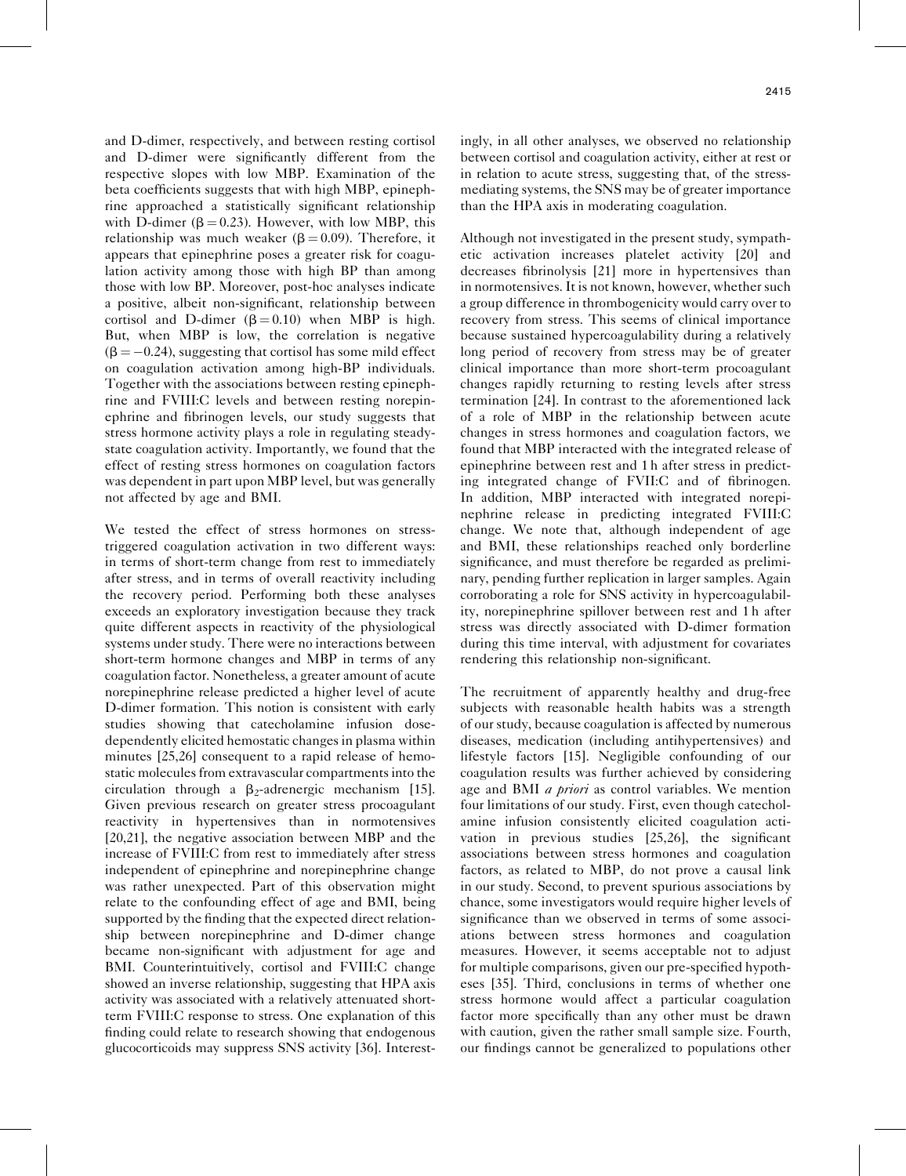and D-dimer, respectively, and between resting cortisol and D-dimer were significantly different from the respective slopes with low MBP. Examination of the beta coefficients suggests that with high MBP, epinephrine approached a statistically significant relationship with D-dimer ( $\beta = 0.23$ ). However, with low MBP, this relationship was much weaker ( $\beta = 0.09$ ). Therefore, it appears that epinephrine poses a greater risk for coagulation activity among those with high BP than among those with low BP. Moreover, post-hoc analyses indicate a positive, albeit non-significant, relationship between cortisol and D-dimer ( $\beta = 0.10$ ) when MBP is high. But, when MBP is low, the correlation is negative  $(\beta = -0.24)$ , suggesting that cortisol has some mild effect on coagulation activation among high-BP individuals. Together with the associations between resting epinephrine and FVIII:C levels and between resting norepinephrine and fibrinogen levels, our study suggests that stress hormone activity plays a role in regulating steadystate coagulation activity. Importantly, we found that the effect of resting stress hormones on coagulation factors was dependent in part upon MBP level, but was generally not affected by age and BMI.

We tested the effect of stress hormones on stresstriggered coagulation activation in two different ways: in terms of short-term change from rest to immediately after stress, and in terms of overall reactivity including the recovery period. Performing both these analyses exceeds an exploratory investigation because they track quite different aspects in reactivity of the physiological systems under study. There were no interactions between short-term hormone changes and MBP in terms of any coagulation factor. Nonetheless, a greater amount of acute norepinephrine release predicted a higher level of acute D-dimer formation. This notion is consistent with early studies showing that catecholamine infusion dosedependently elicited hemostatic changes in plasma within minutes [\[25,26\]](#page-7-0) consequent to a rapid release of hemostatic molecules from extravascular compartments into the circulation through a  $\beta_2$ -adrenergic mechanism [\[15\]](#page-7-0). Given previous research on greater stress procoagulant reactivity in hypertensives than in normotensives [\[20,21\],](#page-7-0) the negative association between MBP and the increase of FVIII:C from rest to immediately after stress independent of epinephrine and norepinephrine change was rather unexpected. Part of this observation might relate to the confounding effect of age and BMI, being supported by the finding that the expected direct relationship between norepinephrine and D-dimer change became non-significant with adjustment for age and BMI. Counterintuitively, cortisol and FVIII:C change showed an inverse relationship, suggesting that HPA axis activity was associated with a relatively attenuated shortterm FVIII:C response to stress. One explanation of this finding could relate to research showing that endogenous glucocorticoids may suppress SNS activity [\[36\]](#page-7-0). Interestingly, in all other analyses, we observed no relationship between cortisol and coagulation activity, either at rest or in relation to acute stress, suggesting that, of the stressmediating systems, the SNS may be of greater importance than the HPA axis in moderating coagulation.

Although not investigated in the present study, sympathetic activation increases platelet activity [\[20\]](#page-7-0) and decreases fibrinolysis [\[21\]](#page-7-0) more in hypertensives than in normotensives. It is not known, however, whether such a group difference in thrombogenicity would carry over to recovery from stress. This seems of clinical importance because sustained hypercoagulability during a relatively long period of recovery from stress may be of greater clinical importance than more short-term procoagulant changes rapidly returning to resting levels after stress termination [\[24\].](#page-7-0) In contrast to the aforementioned lack of a role of MBP in the relationship between acute changes in stress hormones and coagulation factors, we found that MBP interacted with the integrated release of epinephrine between rest and 1 h after stress in predicting integrated change of FVII:C and of fibrinogen. In addition, MBP interacted with integrated norepinephrine release in predicting integrated FVIII:C change. We note that, although independent of age and BMI, these relationships reached only borderline significance, and must therefore be regarded as preliminary, pending further replication in larger samples. Again corroborating a role for SNS activity in hypercoagulability, norepinephrine spillover between rest and 1 h after stress was directly associated with D-dimer formation during this time interval, with adjustment for covariates rendering this relationship non-significant.

The recruitment of apparently healthy and drug-free subjects with reasonable health habits was a strength of our study, because coagulation is affected by numerous diseases, medication (including antihypertensives) and lifestyle factors [\[15\].](#page-7-0) Negligible confounding of our coagulation results was further achieved by considering age and BMI *a priori* as control variables. We mention four limitations of our study. First, even though catecholamine infusion consistently elicited coagulation activation in previous studies [\[25,26\],](#page-7-0) the significant associations between stress hormones and coagulation factors, as related to MBP, do not prove a causal link in our study. Second, to prevent spurious associations by chance, some investigators would require higher levels of significance than we observed in terms of some associations between stress hormones and coagulation measures. However, it seems acceptable not to adjust for multiple comparisons, given our pre-specified hypotheses [\[35\].](#page-7-0) Third, conclusions in terms of whether one stress hormone would affect a particular coagulation factor more specifically than any other must be drawn with caution, given the rather small sample size. Fourth, our findings cannot be generalized to populations other